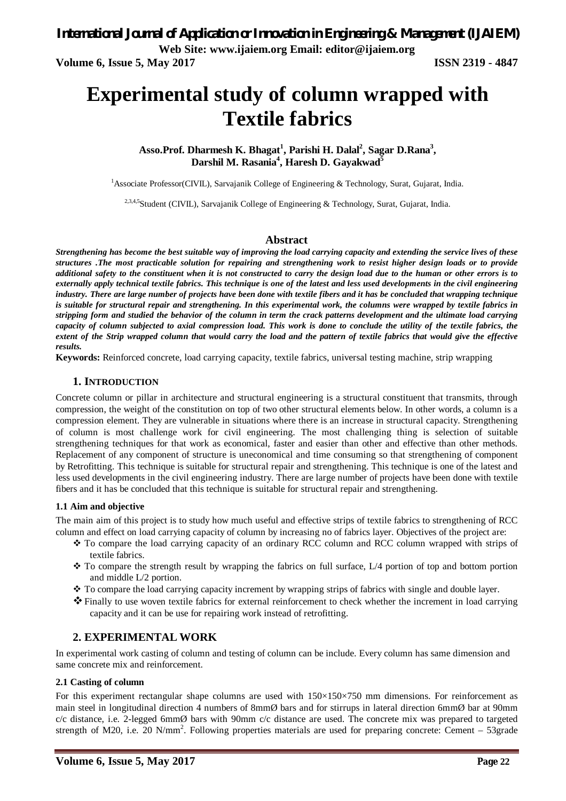# **Experimental study of column wrapped with Textile fabrics**

**Asso.Prof. Dharmesh K. Bhagat<sup>1</sup> , Parishi H. Dalal<sup>2</sup> , Sagar D.Rana<sup>3</sup> , Darshil M. Rasania<sup>4</sup> , Haresh D. Gayakwad<sup>5</sup>**

<sup>1</sup>Associate Professor(CIVIL), Sarvajanik College of Engineering & Technology, Surat, Gujarat, India.

<sup>2,3,4,5</sup>Student (CIVIL), Sarvajanik College of Engineering & Technology, Surat, Gujarat, India.

#### **Abstract**

*Strengthening has become the best suitable way of improving the load carrying capacity and extending the service lives of these structures .The most practicable solution for repairing and strengthening work to resist higher design loads or to provide additional safety to the constituent when it is not constructed to carry the design load due to the human or other errors is to externally apply technical textile fabrics. This technique is one of the latest and less used developments in the civil engineering industry. There are large number of projects have been done with textile fibers and it has be concluded that wrapping technique is suitable for structural repair and strengthening. In this experimental work, the columns were wrapped by textile fabrics in stripping form and studied the behavior of the column in term the crack patterns development and the ultimate load carrying capacity of column subjected to axial compression load. This work is done to conclude the utility of the textile fabrics, the extent of the Strip wrapped column that would carry the load and the pattern of textile fabrics that would give the effective results.* 

**Keywords:** Reinforced concrete, load carrying capacity, textile fabrics, universal testing machine, strip wrapping

#### **1. INTRODUCTION**

Concrete column or pillar in architecture and structural engineering is a structural constituent that transmits, through compression, the weight of the constitution on top of two other structural elements below. In other words, a column is a compression element. They are vulnerable in situations where there is an increase in structural capacity. Strengthening of column is most challenge work for civil engineering. The most challenging thing is selection of suitable strengthening techniques for that work as economical, faster and easier than other and effective than other methods. Replacement of any component of structure is uneconomical and time consuming so that strengthening of component by Retrofitting. This technique is suitable for structural repair and strengthening. This technique is one of the latest and less used developments in the civil engineering industry. There are large number of projects have been done with textile fibers and it has be concluded that this technique is suitable for structural repair and strengthening.

#### **1.1 Aim and objective**

The main aim of this project is to study how much useful and effective strips of textile fabrics to strengthening of RCC column and effect on load carrying capacity of column by increasing no of fabrics layer. Objectives of the project are:

- To compare the load carrying capacity of an ordinary RCC column and RCC column wrapped with strips of textile fabrics.
- $\cdot \cdot$  To compare the strength result by wrapping the fabrics on full surface, L/4 portion of top and bottom portion and middle L/2 portion.
- To compare the load carrying capacity increment by wrapping strips of fabrics with single and double layer.
- Finally to use woven textile fabrics for external reinforcement to check whether the increment in load carrying capacity and it can be use for repairing work instead of retrofitting.

### **2. EXPERIMENTAL WORK**

In experimental work casting of column and testing of column can be include. Every column has same dimension and same concrete mix and reinforcement.

#### **2.1 Casting of column**

For this experiment rectangular shape columns are used with 150×150×750 mm dimensions. For reinforcement as main steel in longitudinal direction 4 numbers of 8mmØ bars and for stirrups in lateral direction 6mmØ bar at 90mm c/c distance, i.e. 2-legged 6mmØ bars with 90mm c/c distance are used. The concrete mix was prepared to targeted strength of M20, i.e. 20 N/mm<sup>2</sup>. Following properties materials are used for preparing concrete: Cement  $-$  53grade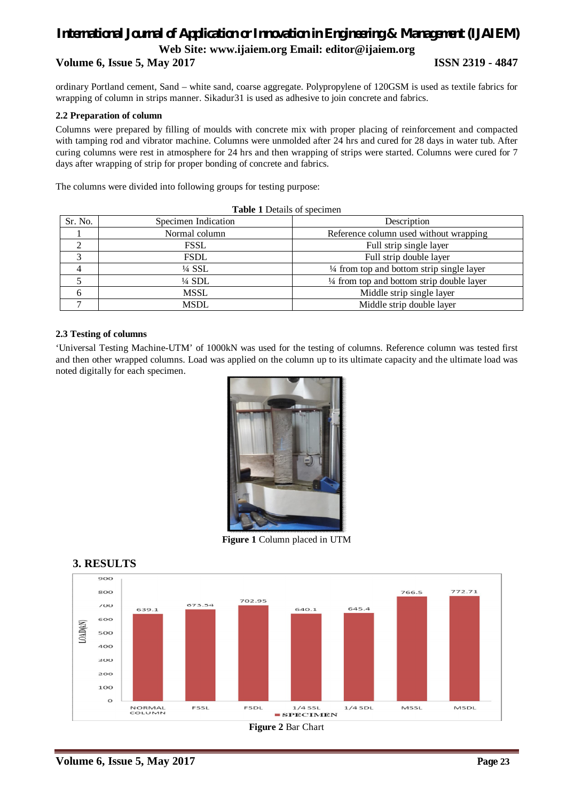# *International Journal of Application or Innovation in Engineering & Management (IJAIEM)* **Web Site: www.ijaiem.org Email: editor@ijaiem.org Volume 6, Issue 5, May 2017 ISSN 2319 - 4847**

ordinary Portland cement, Sand – white sand, coarse aggregate. Polypropylene of 120GSM is used as textile fabrics for wrapping of column in strips manner. Sikadur31 is used as adhesive to join concrete and fabrics.

#### **2.2 Preparation of column**

Columns were prepared by filling of moulds with concrete mix with proper placing of reinforcement and compacted with tamping rod and vibrator machine. Columns were unmolded after 24 hrs and cured for 28 days in water tub. After curing columns were rest in atmosphere for 24 hrs and then wrapping of strips were started. Columns were cured for 7 days after wrapping of strip for proper bonding of concrete and fabrics.

The columns were divided into following groups for testing purpose:

| Sr. No. | Specimen Indication | Description                                          |  |  |  |  |
|---------|---------------------|------------------------------------------------------|--|--|--|--|
|         | Normal column       | Reference column used without wrapping               |  |  |  |  |
| ◠       | <b>FSSL</b>         | Full strip single layer                              |  |  |  |  |
|         | <b>FSDL</b>         | Full strip double layer                              |  |  |  |  |
|         | $\frac{1}{4}$ SSL   | $\frac{1}{4}$ from top and bottom strip single layer |  |  |  |  |
|         | $\frac{1}{4}$ SDL   | $\frac{1}{4}$ from top and bottom strip double layer |  |  |  |  |
| h       | <b>MSSL</b>         | Middle strip single layer                            |  |  |  |  |
|         | <b>MSDL</b>         | Middle strip double layer                            |  |  |  |  |

|  |  |  |  |  | Table 1 Details of specimen |
|--|--|--|--|--|-----------------------------|
|--|--|--|--|--|-----------------------------|

#### **2.3 Testing of columns**

'Universal Testing Machine-UTM' of 1000kN was used for the testing of columns. Reference column was tested first and then other wrapped columns. Load was applied on the column up to its ultimate capacity and the ultimate load was noted digitally for each specimen.



**Figure 1** Column placed in UTM



#### **3. RESULTS**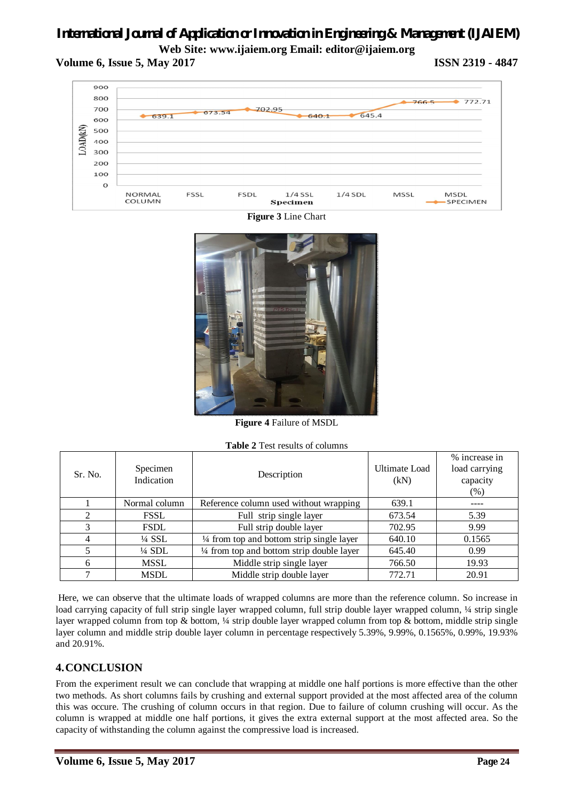# *International Journal of Application or Innovation in Engineering & Management (IJAIEM)* **Web Site: www.ijaiem.org Email: editor@ijaiem.org**

## **Volume 6, Issue 5, May 2017 ISSN 2319 - 4847**



**Figure 3** Line Chart



**Figure 4** Failure of MSDL

| Sr. No.        | Specimen<br>Indication | Description                                | Ultimate Load<br>(kN) | % increase in<br>load carrying<br>capacity<br>(% ) |
|----------------|------------------------|--------------------------------------------|-----------------------|----------------------------------------------------|
|                | Normal column          | Reference column used without wrapping     | 639.1                 |                                                    |
| $\mathfrak{D}$ | <b>FSSL</b>            | Full strip single layer                    | 673.54                | 5.39                                               |
| 3              | <b>FSDL</b>            | Full strip double layer                    | 702.95                | 9.99                                               |
| 4              | $\frac{1}{4}$ SSL      | 1/4 from top and bottom strip single layer | 640.10                | 0.1565                                             |
|                | $\frac{1}{4}$ SDL      | 1/4 from top and bottom strip double layer | 645.40                | 0.99                                               |
| 6              | MSSL                   | Middle strip single layer                  | 766.50                | 19.93                                              |
| ⇁              | <b>MSDL</b>            | Middle strip double layer                  | 772.71                | 20.91                                              |

Here, we can observe that the ultimate loads of wrapped columns are more than the reference column. So increase in load carrying capacity of full strip single layer wrapped column, full strip double layer wrapped column,  $\frac{1}{4}$  strip single layer wrapped column from top & bottom, ¼ strip double layer wrapped column from top & bottom, middle strip single layer column and middle strip double layer column in percentage respectively 5.39%, 9.99%, 0.1565%, 0.99%, 19.93% and 20.91%.

# **4.CONCLUSION**

From the experiment result we can conclude that wrapping at middle one half portions is more effective than the other two methods. As short columns fails by crushing and external support provided at the most affected area of the column this was occure. The crushing of column occurs in that region. Due to failure of column crushing will occur. As the column is wrapped at middle one half portions, it gives the extra external support at the most affected area. So the capacity of withstanding the column against the compressive load is increased.